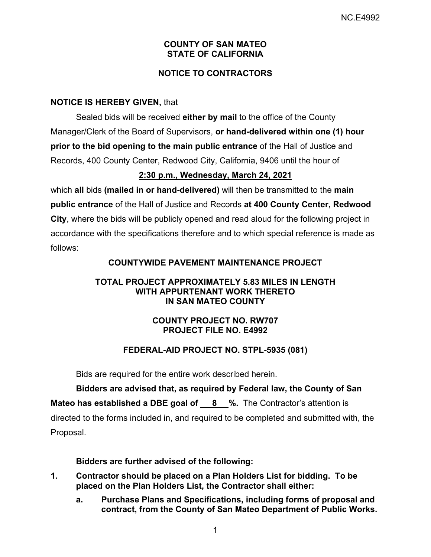## **COUNTY OF SAN MATEO STATE OF CALIFORNIA**

# **NOTICE TO CONTRACTORS**

## **NOTICE IS HEREBY GIVEN,** that

Sealed bids will be received **either by mail** to the office of the County Manager/Clerk of the Board of Supervisors, **or hand-delivered within one (1) hour prior to the bid opening to the main public entrance** of the Hall of Justice and Records, 400 County Center, Redwood City, California, 9406 until the hour of

## **2:30 p.m., Wednesday, March 24, 2021**

which **all** bids **(mailed in or hand-delivered)** will then be transmitted to the **main public entrance** of the Hall of Justice and Records **at 400 County Center, Redwood City**, where the bids will be publicly opened and read aloud for the following project in accordance with the specifications therefore and to which special reference is made as follows:

# **COUNTYWIDE PAVEMENT MAINTENANCE PROJECT**

### **TOTAL PROJECT APPROXIMATELY 5.83 MILES IN LENGTH WITH APPURTENANT WORK THERETO IN SAN MATEO COUNTY**

# **COUNTY PROJECT NO. RW707 PROJECT FILE NO. E4992**

# **FEDERAL-AID PROJECT NO. STPL-5935 (081)**

Bids are required for the entire work described herein.

**Bidders are advised that, as required by Federal law, the County of San Mateo has established a DBE goal of 8 %.** The Contractor's attention is directed to the forms included in, and required to be completed and submitted with, the Proposal.

## **Bidders are further advised of the following:**

- **1. Contractor should be placed on a Plan Holders List for bidding. To be placed on the Plan Holders List, the Contractor shall either:** 
	- **a. Purchase Plans and Specifications, including forms of proposal and contract, from the County of San Mateo Department of Public Works.**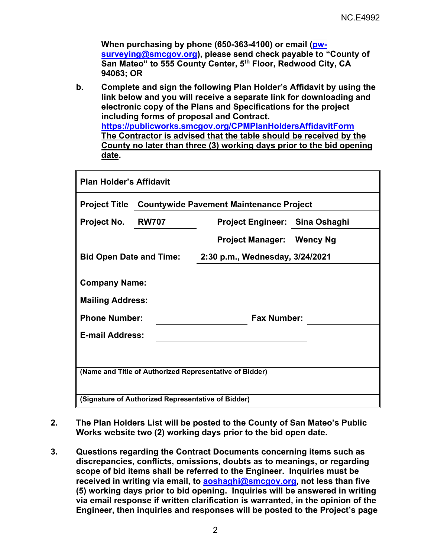**When purchasing by phone (650-363-4100) or email (pwsurveying@smcgov.org), please send check payable to "County of San Mateo" to 555 County Center, 5th Floor, Redwood City, CA 94063; OR** 

**b. Complete and sign the following Plan Holder's Affidavit by using the link below and you will receive a separate link for downloading and electronic copy of the Plans and Specifications for the project including forms of proposal and Contract. https://publicworks.smcgov.org/CPMPlanHoldersAffidavitForm The Contractor is advised that the table should be received by the County no later than three (3) working days prior to the bid opening date.** 

| Project No.<br><b>RW707</b><br><b>Project Engineer: Sina Oshaghi</b><br>Project Manager: Wency Ng<br>2:30 p.m., Wednesday, 3/24/2021 |  |
|--------------------------------------------------------------------------------------------------------------------------------------|--|
|                                                                                                                                      |  |
| <b>Bid Open Date and Time:</b>                                                                                                       |  |
|                                                                                                                                      |  |
| <b>Company Name:</b><br><b>Mailing Address:</b><br><b>Phone Number:</b><br><b>Fax Number:</b>                                        |  |
| <b>E-mail Address:</b>                                                                                                               |  |
|                                                                                                                                      |  |

- **2. The Plan Holders List will be posted to the County of San Mateo's Public Works website two (2) working days prior to the bid open date.**
- **3. Questions regarding the Contract Documents concerning items such as discrepancies, conflicts, omissions, doubts as to meanings, or regarding scope of bid items shall be referred to the Engineer. Inquiries must be received in writing via email, to aoshaghi@smcgov.org, not less than five (5) working days prior to bid opening. Inquiries will be answered in writing via email response if written clarification is warranted, in the opinion of the Engineer, then inquiries and responses will be posted to the Project's page**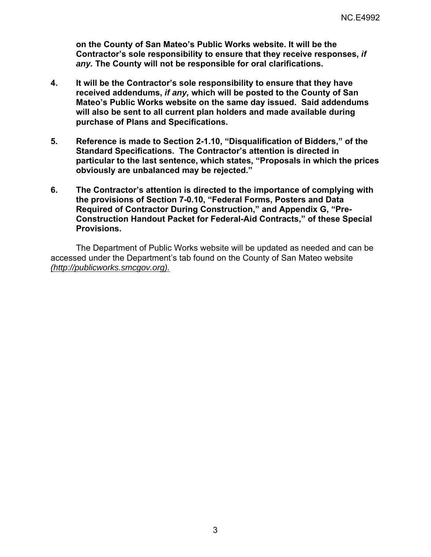**on the County of San Mateo's Public Works website. It will be the Contractor's sole responsibility to ensure that they receive responses,** *if any.* **The County will not be responsible for oral clarifications.** 

- **4. It will be the Contractor's sole responsibility to ensure that they have received addendums,** *if any,* **which will be posted to the County of San Mateo's Public Works website on the same day issued. Said addendums will also be sent to all current plan holders and made available during purchase of Plans and Specifications.**
- **5. Reference is made to Section 2-1.10, "Disqualification of Bidders," of the Standard Specifications. The Contractor's attention is directed in particular to the last sentence, which states, "Proposals in which the prices obviously are unbalanced may be rejected."**
- **6. The Contractor's attention is directed to the importance of complying with the provisions of Section 7-0.10, "Federal Forms, Posters and Data Required of Contractor During Construction," and Appendix G, "Pre-Construction Handout Packet for Federal-Aid Contracts," of these Special Provisions.**

The Department of Public Works website will be updated as needed and can be accessed under the Department's tab found on the County of San Mateo website *(http://publicworks.smcgov.org).*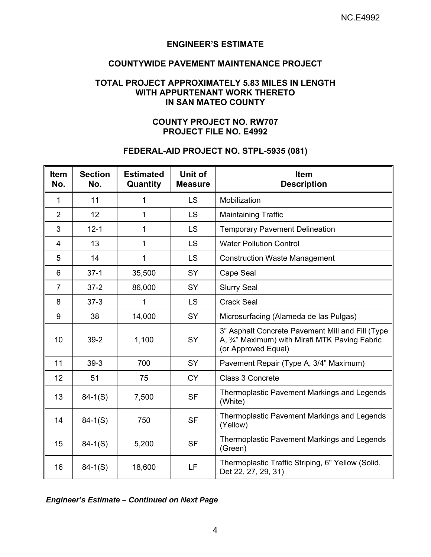#### **ENGINEER'S ESTIMATE**

## **COUNTYWIDE PAVEMENT MAINTENANCE PROJECT**

#### **TOTAL PROJECT APPROXIMATELY 5.83 MILES IN LENGTH WITH APPURTENANT WORK THERETO IN SAN MATEO COUNTY**

#### **COUNTY PROJECT NO. RW707 PROJECT FILE NO. E4992**

#### **FEDERAL-AID PROJECT NO. STPL-5935 (081)**

| <b>Item</b><br>No. | <b>Section</b><br>No. | <b>Estimated</b><br>Quantity | Unit of<br><b>Measure</b> | <b>Item</b><br><b>Description</b>                                                                                         |
|--------------------|-----------------------|------------------------------|---------------------------|---------------------------------------------------------------------------------------------------------------------------|
| 1                  | 11                    | 1                            | <b>LS</b>                 | Mobilization                                                                                                              |
| $\overline{2}$     | 12                    | 1                            | <b>LS</b>                 | <b>Maintaining Traffic</b>                                                                                                |
| 3                  | $12 - 1$              | 1                            | <b>LS</b>                 | <b>Temporary Pavement Delineation</b>                                                                                     |
| 4                  | 13                    | 1                            | <b>LS</b>                 | <b>Water Pollution Control</b>                                                                                            |
| 5                  | 14                    | 1                            | <b>LS</b>                 | <b>Construction Waste Management</b>                                                                                      |
| 6                  | $37-1$                | 35,500                       | SY                        | Cape Seal                                                                                                                 |
| $\overline{7}$     | $37 - 2$              | 86,000                       | <b>SY</b>                 | <b>Slurry Seal</b>                                                                                                        |
| 8                  | $37-3$                | 1                            | <b>LS</b>                 | <b>Crack Seal</b>                                                                                                         |
| 9                  | 38                    | 14,000                       | SY                        | Microsurfacing (Alameda de las Pulgas)                                                                                    |
| 10                 | $39-2$                | 1,100                        | SY                        | 3" Asphalt Concrete Pavement Mill and Fill (Type<br>A, 3/4" Maximum) with Mirafi MTK Paving Fabric<br>(or Approved Equal) |
| 11                 | $39-3$                | 700                          | <b>SY</b>                 | Pavement Repair (Type A, 3/4" Maximum)                                                                                    |
| 12                 | 51                    | 75                           | <b>CY</b>                 | Class 3 Concrete                                                                                                          |
| 13                 | $84-1(S)$             | 7,500                        | <b>SF</b>                 | <b>Thermoplastic Pavement Markings and Legends</b><br>(White)                                                             |
| 14                 | $84-1(S)$             | 750                          | <b>SF</b>                 | Thermoplastic Pavement Markings and Legends<br>(Yellow)                                                                   |
| 15                 | $84 - 1(S)$           | 5,200                        | <b>SF</b>                 | Thermoplastic Pavement Markings and Legends<br>(Green)                                                                    |
| 16                 | $84 - 1(S)$           | 18,600                       | LF                        | Thermoplastic Traffic Striping, 6" Yellow (Solid,<br>Det 22, 27, 29, 31)                                                  |

*Engineer's Estimate – Continued on Next Page*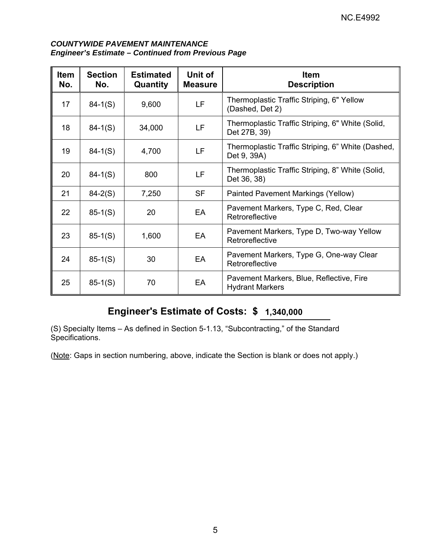#### *COUNTYWIDE PAVEMENT MAINTENANCE Engineer's Estimate – Continued from Previous Page*

| <b>Item</b><br>No. | <b>Section</b><br>No. | <b>Estimated</b><br>Quantity | Unit of<br><b>Measure</b> | <b>Item</b><br><b>Description</b>                                  |
|--------------------|-----------------------|------------------------------|---------------------------|--------------------------------------------------------------------|
| 17                 | $84-1(S)$             | 9,600                        | LF                        | Thermoplastic Traffic Striping, 6" Yellow<br>(Dashed, Det 2)       |
| 18                 | $84-1(S)$             | 34,000                       | LF                        | Thermoplastic Traffic Striping, 6" White (Solid,<br>Det 27B, 39)   |
| 19                 | $84-1(S)$             | 4,700                        | LF                        | Thermoplastic Traffic Striping, 6" White (Dashed,<br>Det 9, 39A)   |
| 20                 | $84-1(S)$             | 800                          | LF                        | Thermoplastic Traffic Striping, 8" White (Solid,<br>Det 36, 38)    |
| 21                 | $84 - 2(S)$           | 7,250                        | <b>SF</b>                 | Painted Pavement Markings (Yellow)                                 |
| 22                 | $85-1(S)$             | 20                           | EA                        | Pavement Markers, Type C, Red, Clear<br>Retroreflective            |
| 23                 | $85-1(S)$             | 1,600                        | EA                        | Pavement Markers, Type D, Two-way Yellow<br>Retroreflective        |
| 24                 | $85-1(S)$             | 30                           | EA                        | Pavement Markers, Type G, One-way Clear<br>Retroreflective         |
| 25                 | $85-1(S)$             | 70                           | EA                        | Pavement Markers, Blue, Reflective, Fire<br><b>Hydrant Markers</b> |

# **Engineer's Estimate of Costs: \$ 1,340,000**

(S) Specialty Items – As defined in Section 5-1.13, "Subcontracting," of the Standard Specifications.

(Note: Gaps in section numbering, above, indicate the Section is blank or does not apply.)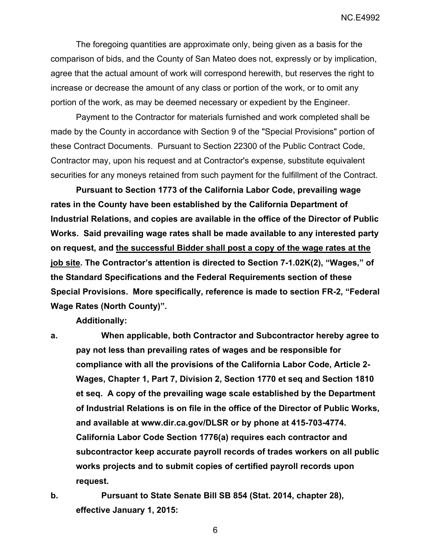The foregoing quantities are approximate only, being given as a basis for the comparison of bids, and the County of San Mateo does not, expressly or by implication, agree that the actual amount of work will correspond herewith, but reserves the right to increase or decrease the amount of any class or portion of the work, or to omit any portion of the work, as may be deemed necessary or expedient by the Engineer.

Payment to the Contractor for materials furnished and work completed shall be made by the County in accordance with Section 9 of the "Special Provisions" portion of these Contract Documents. Pursuant to Section 22300 of the Public Contract Code, Contractor may, upon his request and at Contractor's expense, substitute equivalent securities for any moneys retained from such payment for the fulfillment of the Contract.

**Pursuant to Section 1773 of the California Labor Code, prevailing wage rates in the County have been established by the California Department of Industrial Relations, and copies are available in the office of the Director of Public Works. Said prevailing wage rates shall be made available to any interested party on request, and the successful Bidder shall post a copy of the wage rates at the job site. The Contractor's attention is directed to Section 7-1.02K(2), "Wages," of the Standard Specifications and the Federal Requirements section of these Special Provisions. More specifically, reference is made to section FR-2, "Federal Wage Rates (North County)".** 

**Additionally:** 

**a. When applicable, both Contractor and Subcontractor hereby agree to pay not less than prevailing rates of wages and be responsible for compliance with all the provisions of the California Labor Code, Article 2- Wages, Chapter 1, Part 7, Division 2, Section 1770 et seq and Section 1810 et seq. A copy of the prevailing wage scale established by the Department of Industrial Relations is on file in the office of the Director of Public Works, and available at www.dir.ca.gov/DLSR or by phone at 415-703-4774. California Labor Code Section 1776(a) requires each contractor and subcontractor keep accurate payroll records of trades workers on all public works projects and to submit copies of certified payroll records upon request.** 

**b. Pursuant to State Senate Bill SB 854 (Stat. 2014, chapter 28), effective January 1, 2015:** 

6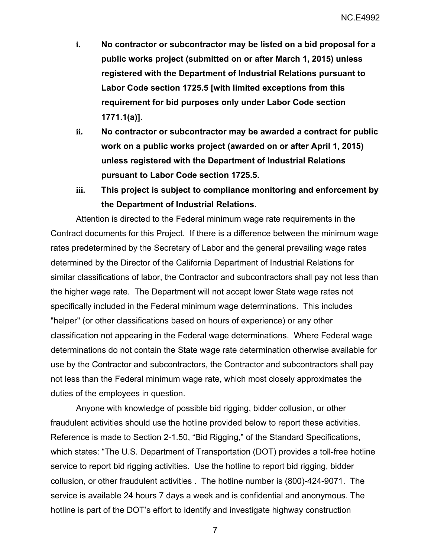- **i. No contractor or subcontractor may be listed on a bid proposal for a public works project (submitted on or after March 1, 2015) unless registered with the Department of Industrial Relations pursuant to Labor Code section 1725.5 [with limited exceptions from this requirement for bid purposes only under Labor Code section 1771.1(a)].**
- **ii. No contractor or subcontractor may be awarded a contract for public work on a public works project (awarded on or after April 1, 2015) unless registered with the Department of Industrial Relations pursuant to Labor Code section 1725.5.**
- **iii. This project is subject to compliance monitoring and enforcement by the Department of Industrial Relations.**

Attention is directed to the Federal minimum wage rate requirements in the Contract documents for this Project. If there is a difference between the minimum wage rates predetermined by the Secretary of Labor and the general prevailing wage rates determined by the Director of the California Department of Industrial Relations for similar classifications of labor, the Contractor and subcontractors shall pay not less than the higher wage rate. The Department will not accept lower State wage rates not specifically included in the Federal minimum wage determinations. This includes "helper" (or other classifications based on hours of experience) or any other classification not appearing in the Federal wage determinations. Where Federal wage determinations do not contain the State wage rate determination otherwise available for use by the Contractor and subcontractors, the Contractor and subcontractors shall pay not less than the Federal minimum wage rate, which most closely approximates the duties of the employees in question.

Anyone with knowledge of possible bid rigging, bidder collusion, or other fraudulent activities should use the hotline provided below to report these activities. Reference is made to Section 2-1.50, "Bid Rigging," of the Standard Specifications, which states: "The U.S. Department of Transportation (DOT) provides a toll-free hotline service to report bid rigging activities. Use the hotline to report bid rigging, bidder collusion, or other fraudulent activities . The hotline number is (800)-424-9071. The service is available 24 hours 7 days a week and is confidential and anonymous. The hotline is part of the DOT's effort to identify and investigate highway construction

7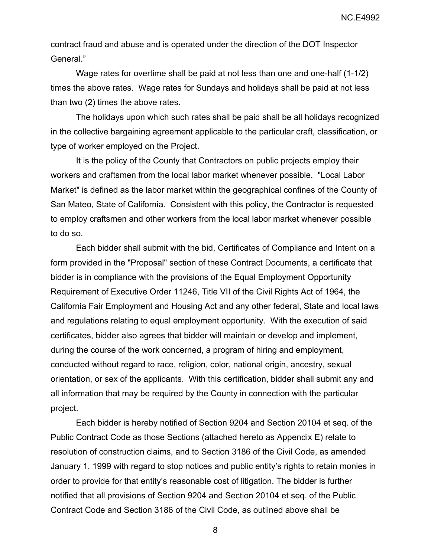NC.E4992

contract fraud and abuse and is operated under the direction of the DOT Inspector General."

Wage rates for overtime shall be paid at not less than one and one-half (1-1/2) times the above rates. Wage rates for Sundays and holidays shall be paid at not less than two (2) times the above rates.

The holidays upon which such rates shall be paid shall be all holidays recognized in the collective bargaining agreement applicable to the particular craft, classification, or type of worker employed on the Project.

It is the policy of the County that Contractors on public projects employ their workers and craftsmen from the local labor market whenever possible. "Local Labor Market" is defined as the labor market within the geographical confines of the County of San Mateo, State of California. Consistent with this policy, the Contractor is requested to employ craftsmen and other workers from the local labor market whenever possible to do so.

Each bidder shall submit with the bid, Certificates of Compliance and Intent on a form provided in the "Proposal" section of these Contract Documents, a certificate that bidder is in compliance with the provisions of the Equal Employment Opportunity Requirement of Executive Order 11246, Title VII of the Civil Rights Act of 1964, the California Fair Employment and Housing Act and any other federal, State and local laws and regulations relating to equal employment opportunity. With the execution of said certificates, bidder also agrees that bidder will maintain or develop and implement, during the course of the work concerned, a program of hiring and employment, conducted without regard to race, religion, color, national origin, ancestry, sexual orientation, or sex of the applicants. With this certification, bidder shall submit any and all information that may be required by the County in connection with the particular project.

Each bidder is hereby notified of Section 9204 and Section 20104 et seq. of the Public Contract Code as those Sections (attached hereto as Appendix E) relate to resolution of construction claims, and to Section 3186 of the Civil Code, as amended January 1, 1999 with regard to stop notices and public entity's rights to retain monies in order to provide for that entity's reasonable cost of litigation. The bidder is further notified that all provisions of Section 9204 and Section 20104 et seq. of the Public Contract Code and Section 3186 of the Civil Code, as outlined above shall be

8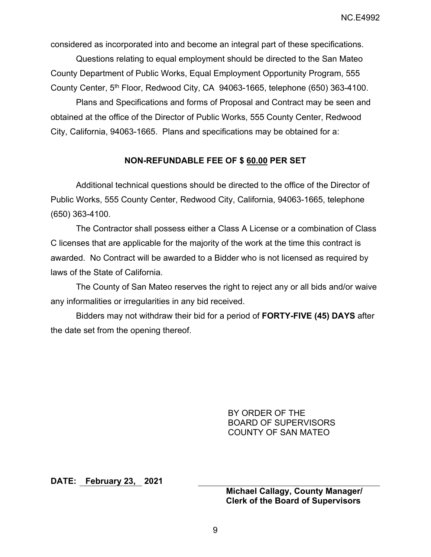considered as incorporated into and become an integral part of these specifications.

Questions relating to equal employment should be directed to the San Mateo County Department of Public Works, Equal Employment Opportunity Program, 555 County Center, 5th Floor, Redwood City, CA 94063-1665, telephone (650) 363-4100.

Plans and Specifications and forms of Proposal and Contract may be seen and obtained at the office of the Director of Public Works, 555 County Center, Redwood City, California, 94063-1665. Plans and specifications may be obtained for a:

## **NON-REFUNDABLE FEE OF \$ 60.00 PER SET**

Additional technical questions should be directed to the office of the Director of Public Works, 555 County Center, Redwood City, California, 94063-1665, telephone (650) 363-4100.

The Contractor shall possess either a Class A License or a combination of Class C licenses that are applicable for the majority of the work at the time this contract is awarded. No Contract will be awarded to a Bidder who is not licensed as required by laws of the State of California.

The County of San Mateo reserves the right to reject any or all bids and/or waive any informalities or irregularities in any bid received.

Bidders may not withdraw their bid for a period of **FORTY-FIVE (45) DAYS** after the date set from the opening thereof.

> BY ORDER OF THE BOARD OF SUPERVISORS COUNTY OF SAN MATEO

**DATE: February 23, 2021** 

**Michael Callagy, County Manager/ Clerk of the Board of Supervisors**